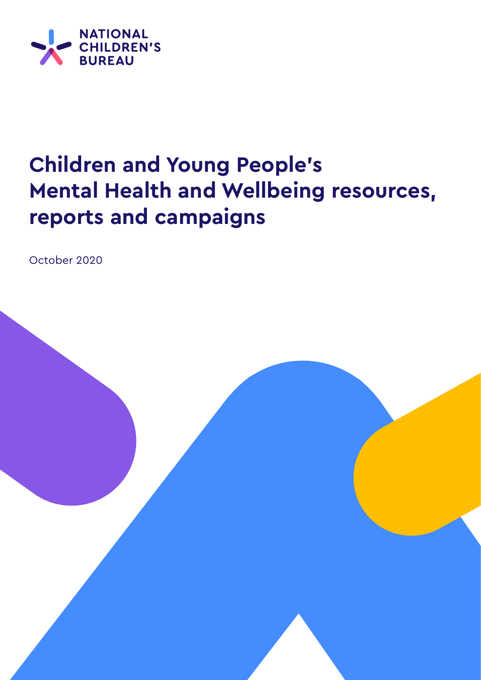

## **Children and Young People's Mental Health and Wellbeing resources, reports and campaigns**

October 2020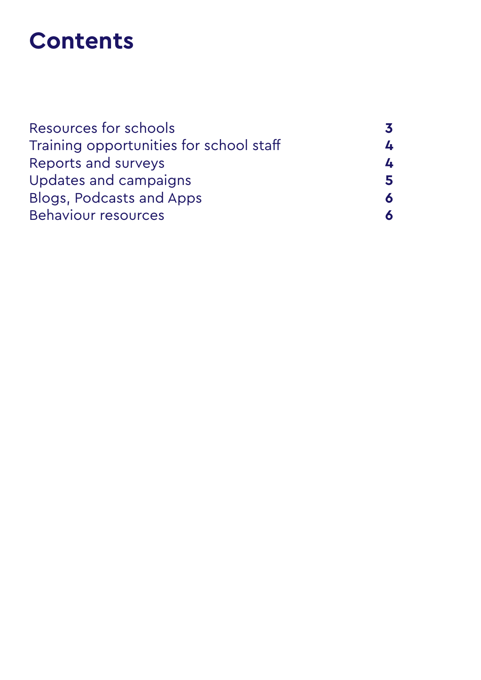## **Contents**

| Resources for schools                   |  |
|-----------------------------------------|--|
| Training opportunities for school staff |  |
| Reports and surveys                     |  |
| Updates and campaigns                   |  |
| <b>Blogs, Podcasts and Apps</b>         |  |
| <b>Behaviour resources</b>              |  |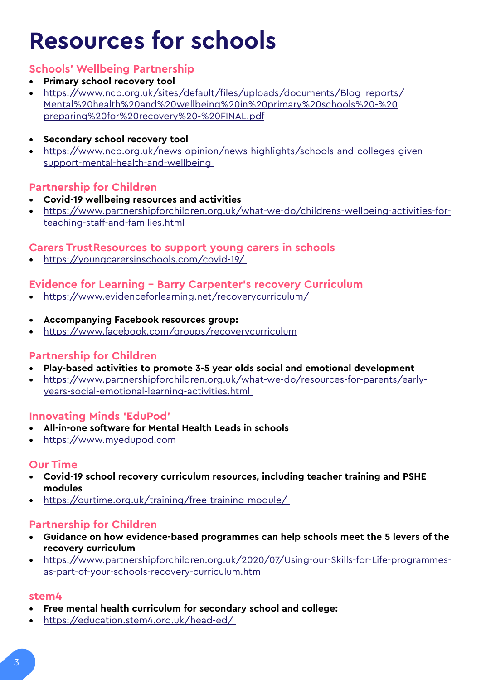## **Resources for schools**

## **Schools' Wellbeing Partnership**

- **• Primary school recovery tool**
- **•** [https://www.ncb.org.uk/sites/default/files/uploads/documents/Blog\\_reports/]( https://www.ncb.org.uk/sites/default/files/uploads/documents/Blog_reports/Mental%20health%20and%20wellbeing%20in%20primary%20schools%20-%20preparing%20for%20recovery%20-%20FINAL.pdf) [Mental%20health%20and%20wellbeing%20in%20primary%20schools%20-%20]( https://www.ncb.org.uk/sites/default/files/uploads/documents/Blog_reports/Mental%20health%20and%20wellbeing%20in%20primary%20schools%20-%20preparing%20for%20recovery%20-%20FINAL.pdf) [preparing%20for%20recovery%20-%20FINAL.pdf]( https://www.ncb.org.uk/sites/default/files/uploads/documents/Blog_reports/Mental%20health%20and%20wellbeing%20in%20primary%20schools%20-%20preparing%20for%20recovery%20-%20FINAL.pdf)
- **• Secondary school recovery tool**
- **•** [https://www.ncb.org.uk/news-opinion/news-highlights/schools-and-colleges-given](https://www.ncb.org.uk/news-opinion/news-highlights/schools-and-colleges-given-support-mental-health-and-wellbeing )[support-mental-health-and-wellbeing](https://www.ncb.org.uk/news-opinion/news-highlights/schools-and-colleges-given-support-mental-health-and-wellbeing )

## **Partnership for Children**

- **• Covid-19 wellbeing resources and activities**
- **•** [https://www.partnershipforchildren.org.uk/what-we-do/childrens-wellbeing-activities-for](https://www.partnershipforchildren.org.uk/what-we-do/childrens-wellbeing-activities-for-teaching-staff-and-families.html )[teaching-staff-and-families.html](https://www.partnershipforchildren.org.uk/what-we-do/childrens-wellbeing-activities-for-teaching-staff-and-families.html )

### **Carers TrustResources to support young carers in schools**

**•** [https://youngcarersinschools.com/covid-19/](https://youngcarersinschools.com/covid-19/ ) 

### **Evidence for Learning – Barry Carpenter's recovery Curriculum**

- **•** [https://www.evidenceforlearning.net/recoverycurriculum/](https://www.evidenceforlearning.net/recoverycurriculum/ )
- **• Accompanying Facebook resources group:**
- **•** <https://www.facebook.com/groups/recoverycurriculum>

### **Partnership for Children**

- **• Play-based activities to promote 3-5 year olds social and emotional development**
- **•** [https://www.partnershipforchildren.org.uk/what-we-do/resources-for-parents/early](https://www.partnershipforchildren.org.uk/what-we-do/resources-for-parents/early-years-social-emotional-learning-activities.html )[years-social-emotional-learning-activities.html](https://www.partnershipforchildren.org.uk/what-we-do/resources-for-parents/early-years-social-emotional-learning-activities.html )

### **Innovating Minds 'EduPod'**

- **• All-in-one software for Mental Health Leads in schools**
- **•** <https://www.myedupod.com>

## **Our Time**

- **• Covid-19 school recovery curriculum resources, including teacher training and PSHE modules**
- **•** [https://ourtime.org.uk/training/free-training-module/](https://ourtime.org.uk/training/free-training-module/ )

### **Partnership for Children**

- **• Guidance on how evidence-based programmes can help schools meet the 5 levers of the recovery curriculum**
- **•** [https://www.partnershipforchildren.org.uk/2020/07/Using-our-Skills-for-Life-programmes](https://www.partnershipforchildren.org.uk/2020/07/Using-our-Skills-for-Life-programmes-as-part-of-your-schools-recovery-curriculum.html )[as-part-of-your-schools-recovery-curriculum.html](https://www.partnershipforchildren.org.uk/2020/07/Using-our-Skills-for-Life-programmes-as-part-of-your-schools-recovery-curriculum.html )

#### **stem4**

- **• Free mental health curriculum for secondary school and college:**
- **•** [https://education.stem4.org.uk/head-ed/](https://education.stem4.org.uk/head-ed/ )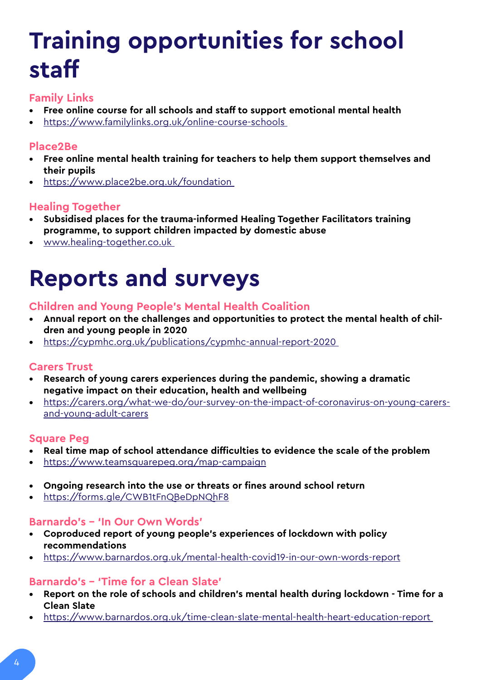# **Training opportunities for school staff**

## **Family Links**

- **• Free online course for all schools and staff to support emotional mental health**
- **•** [https://www.familylinks.org.uk/online-course-schools](https://www.familylinks.org.uk/online-course-schools )

## **Place2Be**

- **• Free online mental health training for teachers to help them support themselves and their pupils**
- **•** [https://www.place2be.org.uk/foundation](https://www.place2be.org.uk/foundation )

## **Healing Together**

- **• Subsidised places for the trauma-informed Healing Together Facilitators training programme, to support children impacted by domestic abuse**
- **•** [www.healing-together.co.uk](http://www.healing-together.co.uk )

## **Reports and surveys**

## **Children and Young People's Mental Health Coalition**

- **• Annual report on the challenges and opportunities to protect the mental health of children and young people in 2020**
- **•** [https://cypmhc.org.uk/publications/cypmhc-annual-report-2020](https://cypmhc.org.uk/publications/cypmhc-annual-report-2020 )

## **Carers Trust**

- **• Research of young carers experiences during the pandemic, showing a dramatic negative impact on their education, health and wellbeing**
- **•** [https://carers.org/what-we-do/our-survey-on-the-impact-of-coronavirus-on-young-carers](https://carers.org/what-we-do/our-survey-on-the-impact-of-coronavirus-on-young-carers-and-young-adult-carers)[and-young-adult-carers](https://carers.org/what-we-do/our-survey-on-the-impact-of-coronavirus-on-young-carers-and-young-adult-carers)

### **Square Peg**

- **• Real time map of school attendance difficulties to evidence the scale of the problem**
- **•** <https://www.teamsquarepeg.org/map-campaign>
- **• Ongoing research into the use or threats or fines around school return**
- **•** [https://forms.gle/CWB1tFnQBeDpNQhF8](https://forms.gle/CWB1tFnQBeDpNQhF8 )

### **Barnardo's – 'In Our Own Words'**

- **• Coproduced report of young people's experiences of lockdown with policy recommendations**
- **•** <https://www.barnardos.org.uk/mental-health-covid19-in-our-own-words-report>

### **Barnardo's – 'Time for a Clean Slate'**

- **• Report on the role of schools and children's mental health during lockdown Time for a Clean Slate**
- **•** [https://www.barnardos.org.uk/time-clean-slate-mental-health-heart-education-report](https://www.barnardos.org.uk/time-clean-slate-mental-health-heart-education-report )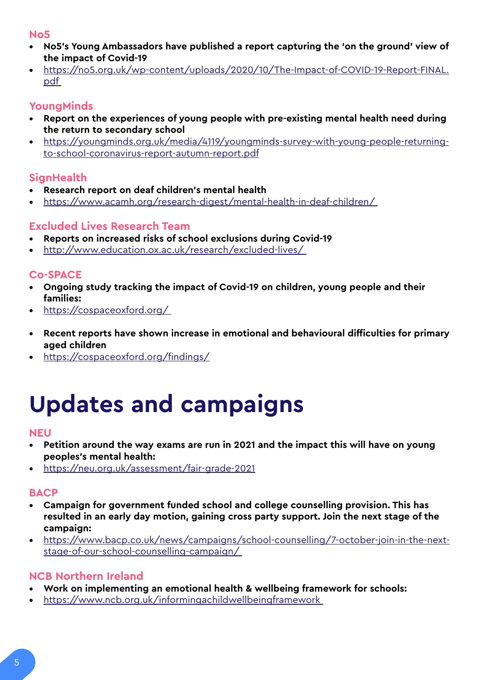#### **No5**

- **• No5's Young Ambassadors have published a report capturing the 'on the ground' view of the impact of Covid-19**
- **•** [https://no5.org.uk/wp-content/uploads/2020/10/The-Impact-of-COVID-19-Report-FINAL.](https://no5.org.uk/wp-content/uploads/2020/10/The-Impact-of-COVID-19-Report-FINAL.pdf ) [pdf](https://no5.org.uk/wp-content/uploads/2020/10/The-Impact-of-COVID-19-Report-FINAL.pdf )

## **YoungMinds**

- **• Report on the experiences of young people with pre-existing mental health need during the return to secondary school**
- **•** [https://youngminds.org.uk/media/4119/youngminds-survey-with-young-people-returning](https://youngminds.org.uk/media/4119/youngminds-survey-with-young-people-returning-to-school-coronavirus-report-autumn-report.pdf)[to-school-coronavirus-report-autumn-report.pdf](https://youngminds.org.uk/media/4119/youngminds-survey-with-young-people-returning-to-school-coronavirus-report-autumn-report.pdf)

## **SignHealth**

- **• Research report on deaf children's mental health**
- **•** [https://www.acamh.org/research-digest/mental-health-in-deaf-children/](https://www.acamh.org/research-digest/mental-health-in-deaf-children/ )

## **Excluded Lives Research Team**

- **• Reports on increased risks of school exclusions during Covid-19**
- **•** [http://www.education.ox.ac.uk/research/excluded-lives/](http://www.education.ox.ac.uk/research/excluded-lives/  )

## **Co-SPACE**

- **• Ongoing study tracking the impact of Covid-19 on children, young people and their families:**
- **•** [https://cospaceoxford.org/](https://cospaceoxford.org/ )
- **• Recent reports have shown increase in emotional and behavioural difficulties for primary aged children**
- **•** <https://cospaceoxford.org/findings/>

## **Updates and campaigns**

#### **NEU**

- **• Petition around the way exams are run in 2021 and the impact this will have on young peoples's mental health:**
- **•** <https://neu.org.uk/assessment/fair-grade-2021>

### **BACP**

- **• Campaign for government funded school and college counselling provision. This has resulted in an early day motion, gaining cross party support. Join the next stage of the campaign:**
- **•** [https://www.bacp.co.uk/news/campaigns/school-counselling/7-october-join-in-the-next](https://www.bacp.co.uk/news/campaigns/school-counselling/7-october-join-in-the-next-stage-of-our-school-counselling-campaign/ )[stage-of-our-school-counselling-campaign/](https://www.bacp.co.uk/news/campaigns/school-counselling/7-october-join-in-the-next-stage-of-our-school-counselling-campaign/ )

## **NCB Northern Ireland**

- **• Work on implementing an emotional health & wellbeing framework for schools:**
- **•** [https://www.ncb.org.uk/informingachildwellbeingframework](https://www.ncb.org.uk/informingachildwellbeingframework )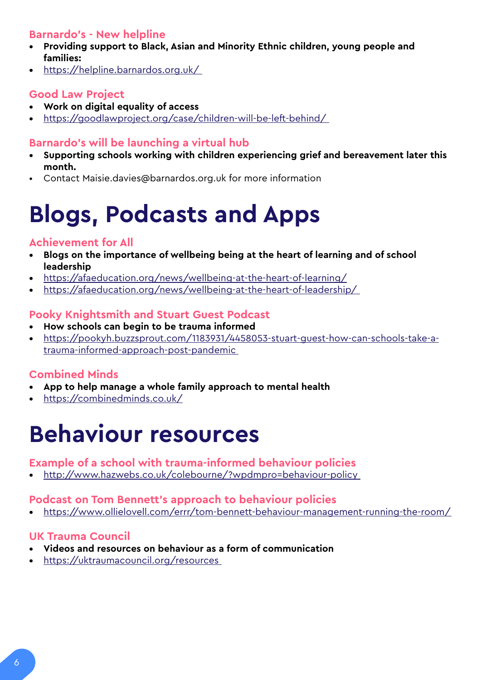## **Barnardo's - New helpline**

- **• Providing support to Black, Asian and Minority Ethnic children, young people and families:**
- **•** [https://helpline.barnardos.org.uk/](https://helpline.barnardos.org.uk/ )

## **Good Law Project**

- **• Work on digital equality of access**
- **•** [https://goodlawproject.org/case/children-will-be-left-behind/](https://goodlawproject.org/case/children-will-be-left-behind/ )

## **Barnardo's will be launching a virtual hub**

- **• Supporting schools working with children experiencing grief and bereavement later this month.**
- Contact Maisie.davies@barnardos.org.uk for more information

## **Blogs, Podcasts and Apps**

## **Achievement for All**

- **• Blogs on the importance of wellbeing being at the heart of learning and of school leadership**
- **•** <https://afaeducation.org/news/wellbeing-at-the-heart-of-learning/>
- **•** [https://afaeducation.org/news/wellbeing-at-the-heart-of-leadership/](https://afaeducation.org/news/wellbeing-at-the-heart-of-leadership/ )

## **Pooky Knightsmith and Stuart Guest Podcast**

- **• How schools can begin to be trauma informed**
- **•** [https://pookyh.buzzsprout.com/1183931/4458053-stuart-guest-how-can-schools-take-a](https://pookyh.buzzsprout.com/1183931/4458053-stuart-guest-how-can-schools-take-a-trauma-informed-approach-post-pandemic )[trauma-informed-approach-post-pandemic](https://pookyh.buzzsprout.com/1183931/4458053-stuart-guest-how-can-schools-take-a-trauma-informed-approach-post-pandemic )

## **Combined Minds**

- **• App to help manage a whole family approach to mental health**
- **•** [https://combinedminds.co.uk/](https://combinedminds.co.uk/  )

## **Behaviour resources**

### **Example of a school with trauma-informed behaviour policies**

**•** [http://www.hazwebs.co.uk/colebourne/?wpdmpro=behaviour-policy](http://www.hazwebs.co.uk/colebourne/?wpdmpro=behaviour-policy ) 

### **Podcast on Tom Bennett's approach to behaviour policies**

**•** [https://www.ollielovell.com/errr/tom-bennett-behaviour-management-running-the-room/](https://www.ollielovell.com/errr/tom-bennett-behaviour-management-running-the-room/ ) 

## **UK Trauma Council**

- **• Videos and resources on behaviour as a form of communication**
- **•** [https://uktraumacouncil.org/resources](https://uktraumacouncil.org/resources )